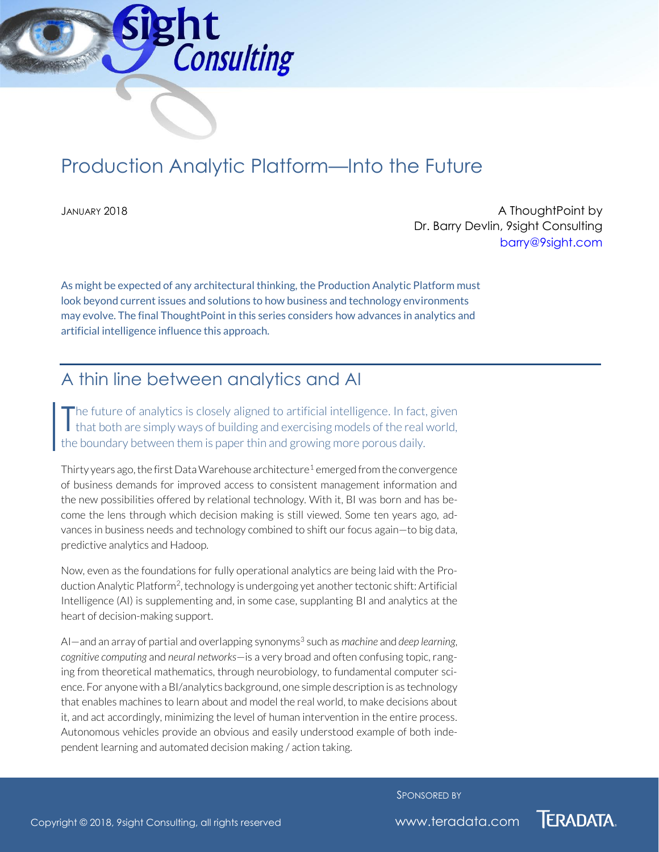

# Production Analytic Platform—Into the Future

JANUARY 2018 A ThoughtPoint by Dr. Barry Devlin, 9sight Consulting [barry@9sight.com](mailto:barry@9sight.com)

As might be expected of any architectural thinking, the Production Analytic Platform must look beyond current issues and solutions to how business and technology environments may evolve. The final ThoughtPoint in this series considers how advances in analytics and artificial intelligence influence this approach.

#### A thin line between analytics and AI

he future of analytics is closely aligned to artificial intelligence. In fact, given The future of analytics is closely aligned to artificial intelligence. In fact, given<br>that both are simply ways of building and exercising models of the real world, the boundary between them is paper thin and growing more porous daily.

Thirty years ago, the first Data Warehouse architecture<sup>1</sup> emerged from the convergence of business demands for improved access to consistent management information and the new possibilities offered by relational technology. With it, BI was born and has become the lens through which decision making is still viewed. Some ten years ago, advances in business needs and technology combined to shift our focus again—to big data, predictive analytics and Hadoop.

Now, even as the foundations for fully operational analytics are being laid with the Production Analytic Platform<sup>2</sup>, technology is undergoing yet another tectonic shift: Artificial Intelligence (AI) is supplementing and, in some case, supplanting BI and analytics at the heart of decision-making support.

Al—and an array of partial and overlapping synonyms<sup>3</sup> such as *machine* and *deep learning*, *cognitive computing* and *neural networks*—is a very broad and often confusing topic, ranging from theoretical mathematics, through neurobiology, to fundamental computer science. For anyone with a BI/analytics background, one simple description is as technology that enables machines to learn about and model the real world, to make decisions about it, and act accordingly, minimizing the level of human intervention in the entire process. Autonomous vehicles provide an obvious and easily understood example of both independent learning and automated decision making / action taking.

SPONSORED BY

**TERADATA.**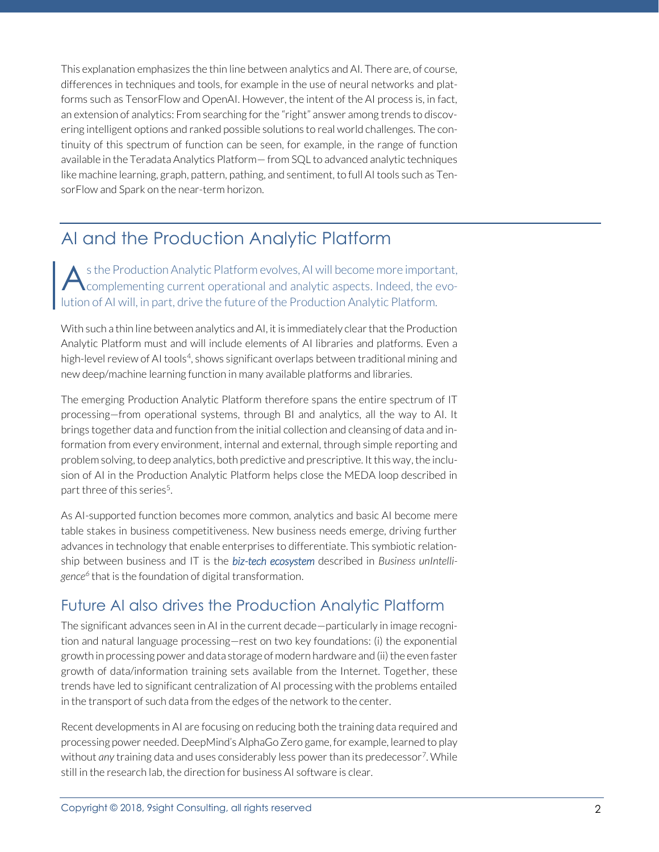This explanation emphasizes the thin line between analytics and AI. There are, of course, differences in techniques and tools, for example in the use of neural networks and platforms such as TensorFlow and OpenAI. However, the intent of the AI process is, in fact, an extension of analytics: From searching for the "right" answer among trends to discovering intelligent options and ranked possible solutions to real world challenges. The continuity of this spectrum of function can be seen, for example, in the range of function available in the Teradata Analytics Platform— from SQL to advanced analytic techniques like machine learning, graph, pattern, pathing, and sentiment, to full AI tools such as TensorFlow and Spark on the near-term horizon.

## AI and the Production Analytic Platform

s the Production Analytic Platform evolves, AI will become more important, A s the Production Analytic Platform evolves, AI will become more important,<br>Complementing current operational and analytic aspects. Indeed, the evolution of AI will, in part, drive the future of the Production Analytic Platform.

With such a thin line between analytics and AI, it is immediately clear that the Production Analytic Platform must and will include elements of AI libraries and platforms. Even a high-level review of AI tools<sup>4</sup>, shows significant overlaps between traditional mining and new deep/machine learning function in many available platforms and libraries.

The emerging Production Analytic Platform therefore spans the entire spectrum of IT processing—from operational systems, through BI and analytics, all the way to AI. It brings together data and function from the initial collection and cleansing of data and information from every environment, internal and external, through simple reporting and problem solving, to deep analytics, both predictive and prescriptive. It this way, the inclusion of AI in the Production Analytic Platform helps close the MEDA loop described in part three of this series<sup>5</sup>. .

As AI-supported function becomes more common, analytics and basic AI become mere table stakes in business competitiveness. New business needs emerge, driving further advances in technology that enable enterprises to differentiate. This symbiotic relationship between business and IT is the *biz-tech ecosystem* described in *Business unIntelligence<sup>6</sup>* that is the foundation of digital transformation.

#### Future AI also drives the Production Analytic Platform

The significant advances seen in AI in the current decade—particularly in image recognition and natural language processing—rest on two key foundations: (i) the exponential growth in processing power and data storage of modern hardware and (ii) the even faster growth of data/information training sets available from the Internet. Together, these trends have led to significant centralization of AI processing with the problems entailed in the transport of such data from the edges of the network to the center.

Recent developments in AI are focusing on reducing both the training data required and processing power needed. DeepMind's AlphaGo Zero game, for example, learned to play without *any* training data and uses considerably less power than its predecessor<sup>7</sup> . While still in the research lab, the direction for business AI software is clear.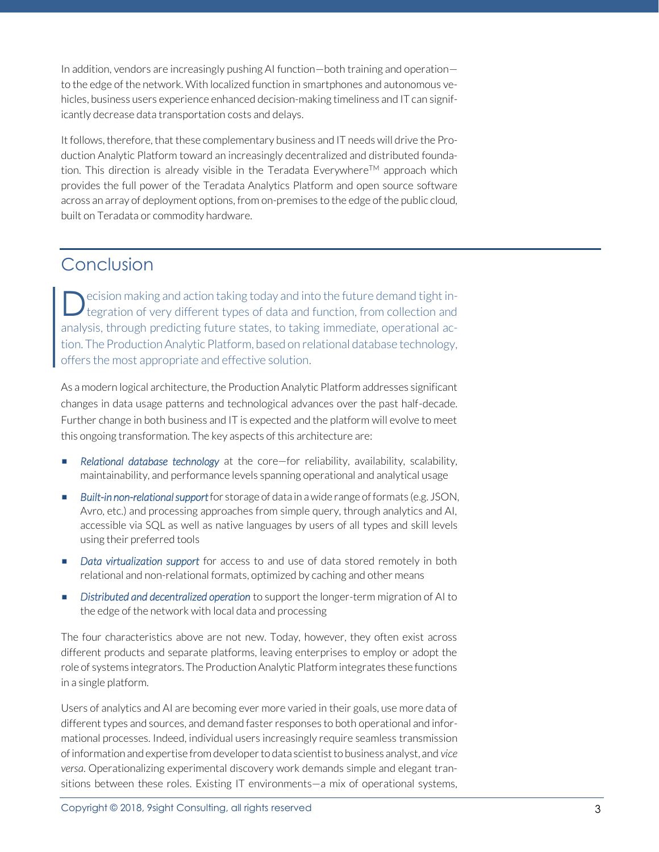In addition, vendors are increasingly pushing AI function—both training and operation to the edge of the network. With localized function in smartphones and autonomous vehicles, business users experience enhanced decision-making timeliness and IT can significantly decrease data transportation costs and delays.

It follows, therefore, that these complementary business and IT needs will drive the Production Analytic Platform toward an increasingly decentralized and distributed foundation. This direction is already visible in the Teradata Everywhere<sup>TM</sup> approach which provides the full power of the Teradata Analytics Platform and open source software across an array of deployment options, from on-premises to the edge of the public cloud, built on Teradata or commodity hardware.

### Conclusion

ecision making and action taking today and into the future demand tight integration of very different types of data and function, from collection and analysis, through predicting future states, to taking immediate, operational action. The Production Analytic Platform, based on relational database technology, offers the most appropriate and effective solution. D

As a modern logical architecture, the Production Analytic Platform addresses significant changes in data usage patterns and technological advances over the past half-decade. Further change in both business and IT is expected and the platform will evolve to meet this ongoing transformation. The key aspects of this architecture are:

- *Relational database technology* at the core—for reliability, availability, scalability, maintainability, and performance levels spanning operational and analytical usage
- *Built-in non-relational support* for storage of data in a wide range of formats (e.g. JSON, Avro, etc.) and processing approaches from simple query, through analytics and AI, accessible via SQL as well as native languages by users of all types and skill levels using their preferred tools
- **E** *Data virtualization support* for access to and use of data stored remotely in both relational and non-relational formats, optimized by caching and other means
- **E** Distributed and decentralized operation to support the longer-term migration of AI to the edge of the network with local data and processing

The four characteristics above are not new. Today, however, they often exist across different products and separate platforms, leaving enterprises to employ or adopt the role of systems integrators. The Production Analytic Platform integrates these functions in a single platform.

Users of analytics and AI are becoming ever more varied in their goals, use more data of different types and sources, and demand faster responses to both operational and informational processes. Indeed, individual users increasingly require seamless transmission of information and expertise from developer to data scientist to business analyst, and *vice versa*. Operationalizing experimental discovery work demands simple and elegant transitions between these roles. Existing IT environments—a mix of operational systems,